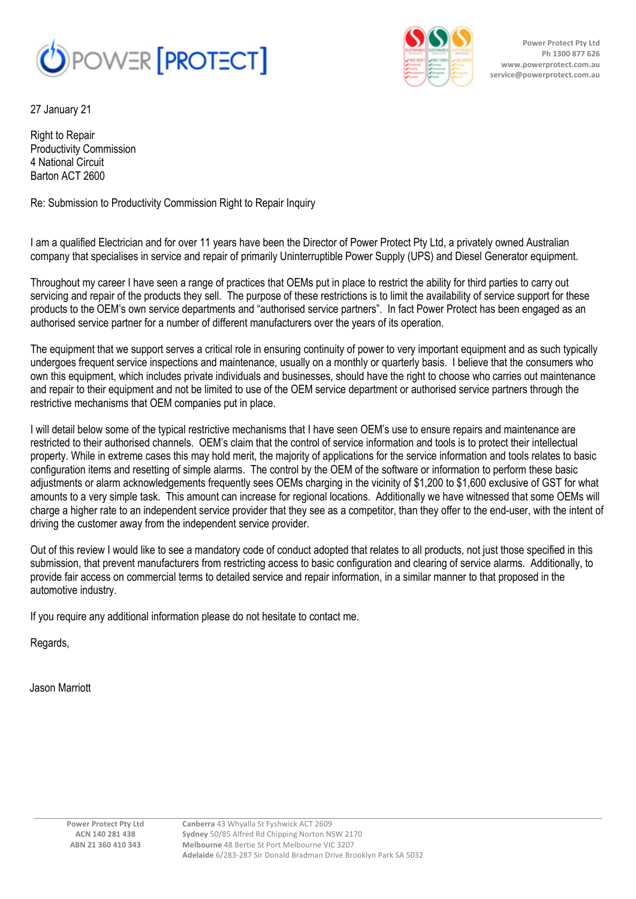

27 January 21

Right to Repair Productivity Commission 4 National Circuit Barton ACT 2600

Re: Submission to Productivity Commission Right to Repair Inquiry

I am a qualified Electrician and for over 11 years have been the Director of Power Protect Pty Ltd, a privately owned Australian company that specialises in service and repair of primarily Uninterruptible Power Supply (UPS) and Diesel Generator equipment.

Throughout my career I have seen a range of practices that OEMs put in place to restrict the ability for third parties to carry out servicing and repair of the products they sell. The purpose of these restrictions is to limit the availability of service support for these products to the OEM's own service departments and "authorised service partners". In fact Power Protect has been engaged as an authorised service partner for a number of different manufacturers over the years of its operation.

The equipment that we support serves a critical role in ensuring continuity of power to very important equipment and as such typically undergoes frequent service inspections and maintenance, usually on a monthly or quarterly basis. I believe that the consumers who own this equipment, which includes private individuals and businesses, should have the right to choose who carries out maintenance and repair to their equipment and not be limited to use of the OEM service department or authorised service partners through the restrictive mechanisms that OEM companies put in place.

I will detail below some of the typical restrictive mechanisms that I have seen OEM's use to ensure repairs and maintenance are restricted to their authorised channels. OEM's claim that the control of service information and tools is to protect their intellectual property. While in extreme cases this may hold merit, the majority of applications for the service information and tools relates to basic configuration items and resetting of simple alarms. The control by the OEM of the software or information to perform these basic adjustments or alarm acknowledgements frequently sees OEMs charging in the vicinity of \$1,200 to \$1,600 exclusive of GST for what amounts to a very simple task. This amount can increase for regional locations. Additionally we have witnessed that some OEMs will charge a higher rate to an independent service provider that they see as a competitor, than they offer to the end-user, with the intent of driving the customer away from the independent service provider.

Out of this review I would like to see a mandatory code of conduct adopted that relates to all products, not just those specified in this submission, that prevent manufacturers from restricting access to basic configuration and clearing of service alarms. Additionally, to provide fair access on commercial terms to detailed service and repair information, in a similar manner to that proposed in the automotive industry.

If you require any additional information please do not hesitate to contact me.

Regards,

Jason Marriott



**Power Protect Pty Ltd Ph 1300 877 626 www.powerprotect.com.au service@powerprotect.com.au**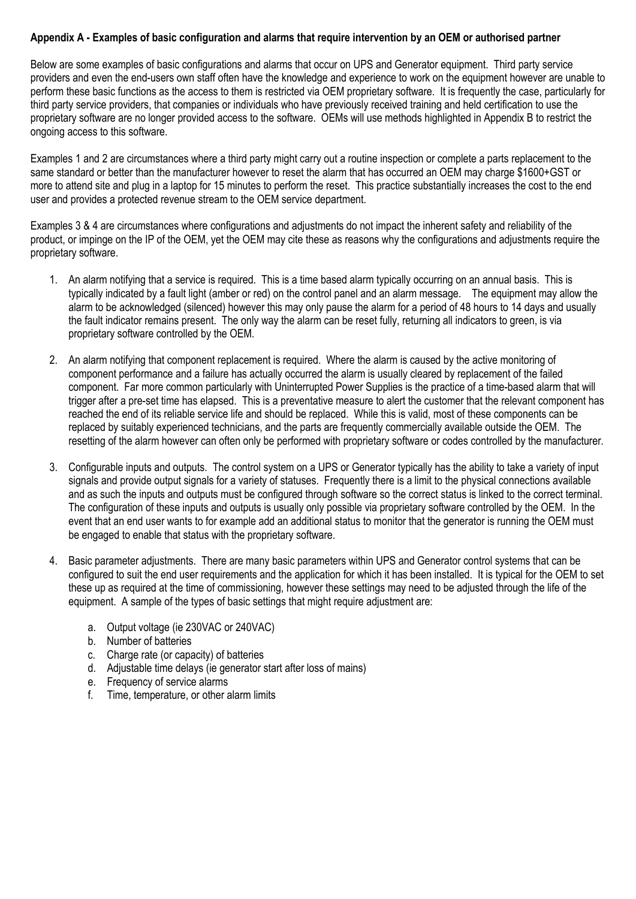## **Appendix A - Examples of basic configuration and alarms that require intervention by an OEM or authorised partner**

Below are some examples of basic configurations and alarms that occur on UPS and Generator equipment. Third party service providers and even the end-users own staff often have the knowledge and experience to work on the equipment however are unable to perform these basic functions as the access to them is restricted via OEM proprietary software. It is frequently the case, particularly for third party service providers, that companies or individuals who have previously received training and held certification to use the proprietary software are no longer provided access to the software. OEMs will use methods highlighted in Appendix B to restrict the ongoing access to this software.

Examples 1 and 2 are circumstances where a third party might carry out a routine inspection or complete a parts replacement to the same standard or better than the manufacturer however to reset the alarm that has occurred an OEM may charge \$1600+GST or more to attend site and plug in a laptop for 15 minutes to perform the reset. This practice substantially increases the cost to the end user and provides a protected revenue stream to the OEM service department.

Examples 3 & 4 are circumstances where configurations and adjustments do not impact the inherent safety and reliability of the product, or impinge on the IP of the OEM, yet the OEM may cite these as reasons why the configurations and adjustments require the proprietary software.

- 1. An alarm notifying that a service is required. This is a time based alarm typically occurring on an annual basis. This is typically indicated by a fault light (amber or red) on the control panel and an alarm message. The equipment may allow the alarm to be acknowledged (silenced) however this may only pause the alarm for a period of 48 hours to 14 days and usually the fault indicator remains present. The only way the alarm can be reset fully, returning all indicators to green, is via proprietary software controlled by the OEM.
- 2. An alarm notifying that component replacement is required. Where the alarm is caused by the active monitoring of component performance and a failure has actually occurred the alarm is usually cleared by replacement of the failed component. Far more common particularly with Uninterrupted Power Supplies is the practice of a time-based alarm that will trigger after a pre-set time has elapsed. This is a preventative measure to alert the customer that the relevant component has reached the end of its reliable service life and should be replaced. While this is valid, most of these components can be replaced by suitably experienced technicians, and the parts are frequently commercially available outside the OEM. The resetting of the alarm however can often only be performed with proprietary software or codes controlled by the manufacturer.
- 3. Configurable inputs and outputs. The control system on a UPS or Generator typically has the ability to take a variety of input signals and provide output signals for a variety of statuses. Frequently there is a limit to the physical connections available and as such the inputs and outputs must be configured through software so the correct status is linked to the correct terminal. The configuration of these inputs and outputs is usually only possible via proprietary software controlled by the OEM. In the event that an end user wants to for example add an additional status to monitor that the generator is running the OEM must be engaged to enable that status with the proprietary software.
- 4. Basic parameter adjustments. There are many basic parameters within UPS and Generator control systems that can be configured to suit the end user requirements and the application for which it has been installed. It is typical for the OEM to set these up as required at the time of commissioning, however these settings may need to be adjusted through the life of the equipment. A sample of the types of basic settings that might require adjustment are:
	- a. Output voltage (ie 230VAC or 240VAC)
	- b. Number of batteries
	- c. Charge rate (or capacity) of batteries
	- d. Adjustable time delays (ie generator start after loss of mains)
	- e. Frequency of service alarms
	- f. Time, temperature, or other alarm limits